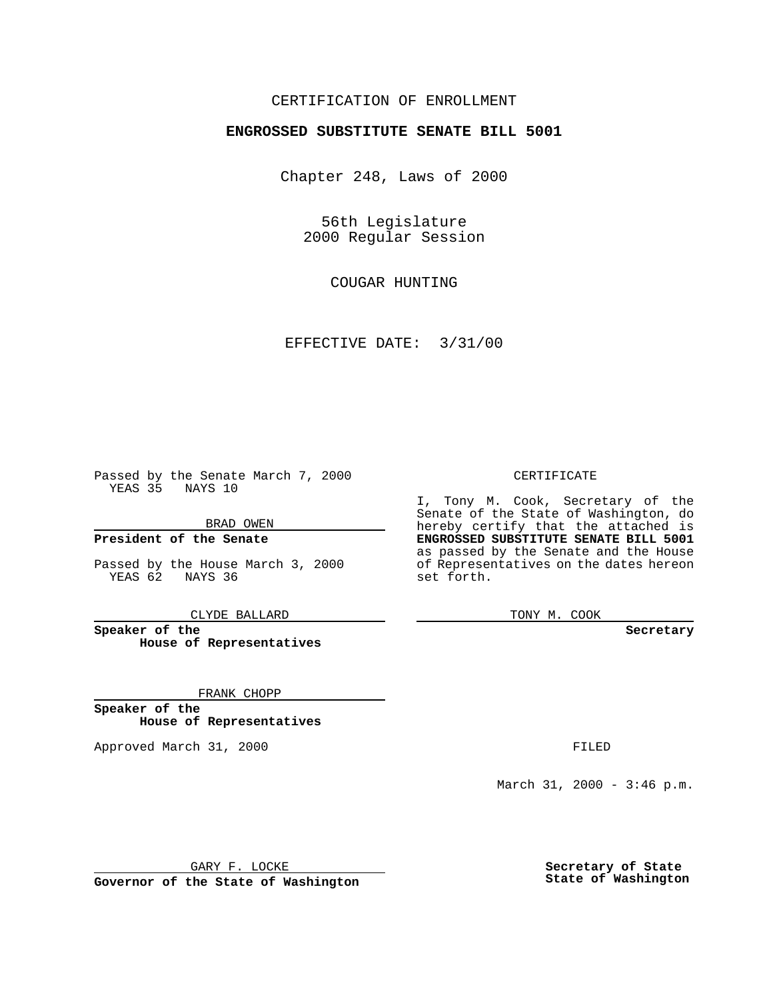### CERTIFICATION OF ENROLLMENT

# **ENGROSSED SUBSTITUTE SENATE BILL 5001**

Chapter 248, Laws of 2000

56th Legislature 2000 Regular Session

COUGAR HUNTING

EFFECTIVE DATE: 3/31/00

Passed by the Senate March 7, 2000 YEAS 35 NAYS 10

BRAD OWEN

**President of the Senate**

Passed by the House March 3, 2000 YEAS 62 NAYS 36

CLYDE BALLARD

**Speaker of the House of Representatives**

FRANK CHOPP

**Speaker of the House of Representatives**

Approved March 31, 2000 FILED

#### CERTIFICATE

I, Tony M. Cook, Secretary of the Senate of the State of Washington, do hereby certify that the attached is **ENGROSSED SUBSTITUTE SENATE BILL 5001** as passed by the Senate and the House of Representatives on the dates hereon set forth.

TONY M. COOK

**Secretary**

March 31, 2000 - 3:46 p.m.

GARY F. LOCKE

**Governor of the State of Washington**

**Secretary of State State of Washington**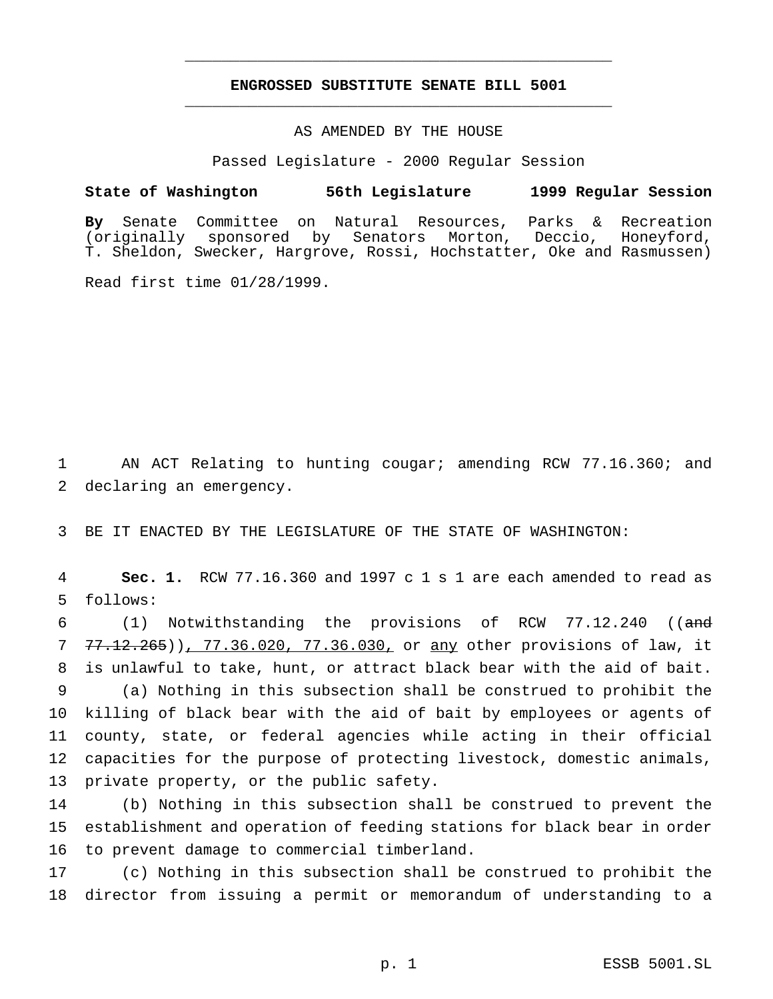## **ENGROSSED SUBSTITUTE SENATE BILL 5001** \_\_\_\_\_\_\_\_\_\_\_\_\_\_\_\_\_\_\_\_\_\_\_\_\_\_\_\_\_\_\_\_\_\_\_\_\_\_\_\_\_\_\_\_\_\_\_

\_\_\_\_\_\_\_\_\_\_\_\_\_\_\_\_\_\_\_\_\_\_\_\_\_\_\_\_\_\_\_\_\_\_\_\_\_\_\_\_\_\_\_\_\_\_\_

### AS AMENDED BY THE HOUSE

Passed Legislature - 2000 Regular Session

#### **State of Washington 56th Legislature 1999 Regular Session**

**By** Senate Committee on Natural Resources, Parks & Recreation (originally sponsored by Senators Morton, Deccio, Honeyford, T. Sheldon, Swecker, Hargrove, Rossi, Hochstatter, Oke and Rasmussen)

Read first time 01/28/1999.

1 AN ACT Relating to hunting cougar; amending RCW 77.16.360; and 2 declaring an emergency.

3 BE IT ENACTED BY THE LEGISLATURE OF THE STATE OF WASHINGTON:

4 **Sec. 1.** RCW 77.16.360 and 1997 c 1 s 1 are each amended to read as 5 follows:

6 (1) Notwithstanding the provisions of RCW 77.12.240 ((and 7 77.12.265)), 77.36.020, 77.36.030, or any other provisions of law, it 8 is unlawful to take, hunt, or attract black bear with the aid of bait.

 (a) Nothing in this subsection shall be construed to prohibit the killing of black bear with the aid of bait by employees or agents of county, state, or federal agencies while acting in their official capacities for the purpose of protecting livestock, domestic animals, private property, or the public safety.

14 (b) Nothing in this subsection shall be construed to prevent the 15 establishment and operation of feeding stations for black bear in order 16 to prevent damage to commercial timberland.

17 (c) Nothing in this subsection shall be construed to prohibit the 18 director from issuing a permit or memorandum of understanding to a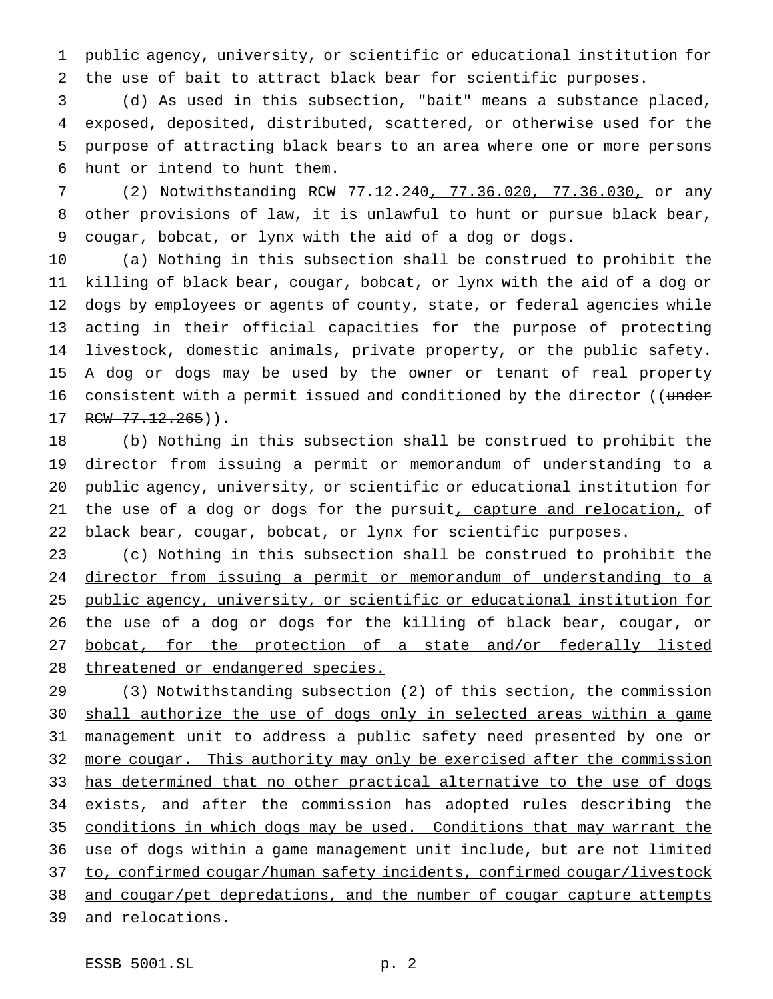public agency, university, or scientific or educational institution for the use of bait to attract black bear for scientific purposes.

 (d) As used in this subsection, "bait" means a substance placed, exposed, deposited, distributed, scattered, or otherwise used for the purpose of attracting black bears to an area where one or more persons hunt or intend to hunt them.

 (2) Notwithstanding RCW 77.12.240, 77.36.020, 77.36.030, or any other provisions of law, it is unlawful to hunt or pursue black bear, cougar, bobcat, or lynx with the aid of a dog or dogs.

 (a) Nothing in this subsection shall be construed to prohibit the killing of black bear, cougar, bobcat, or lynx with the aid of a dog or dogs by employees or agents of county, state, or federal agencies while acting in their official capacities for the purpose of protecting livestock, domestic animals, private property, or the public safety. A dog or dogs may be used by the owner or tenant of real property 16 consistent with a permit issued and conditioned by the director ((under 17 RCW 77.12.265)).

 (b) Nothing in this subsection shall be construed to prohibit the director from issuing a permit or memorandum of understanding to a public agency, university, or scientific or educational institution for 21 the use of a dog or dogs for the pursuit<u>, capture and relocation,</u> of black bear, cougar, bobcat, or lynx for scientific purposes.

 (c) Nothing in this subsection shall be construed to prohibit the director from issuing a permit or memorandum of understanding to a public agency, university, or scientific or educational institution for 26 the use of a dog or dogs for the killing of black bear, cougar, or 27 bobcat, for the protection of a state and/or federally listed 28 threatened or endangered species.

 (3) Notwithstanding subsection (2) of this section, the commission 30 shall authorize the use of dogs only in selected areas within a game management unit to address a public safety need presented by one or 32 more cougar. This authority may only be exercised after the commission has determined that no other practical alternative to the use of dogs exists, and after the commission has adopted rules describing the conditions in which dogs may be used. Conditions that may warrant the use of dogs within a game management unit include, but are not limited 37 to, confirmed cougar/human safety incidents, confirmed cougar/livestock and cougar/pet depredations, and the number of cougar capture attempts and relocations.